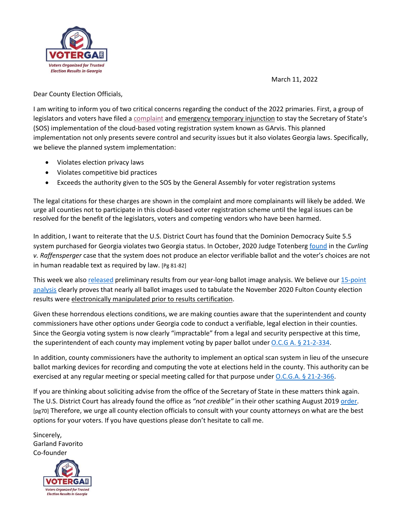

March 11, 2022

Dear County Election Officials,

I am writing to inform you of two critical concerns regarding the conduct of the 2022 primaries. First, a group of legislators and voters have filed a [complaint](https://voterga.org/wp-content/uploads/2022/03/Paul-Brown-VoterGA-Voter-Registration-Cloud-Complaint.pdf) and emergency temporary injunction to stay the Secretary of State's (SOS) implementation of the cloud-based voting registration system known as GArvis. This planned implementation not only presents severe control and security issues but it also violates Georgia laws. Specifically, we believe the planned system implementation:

- Violates election privacy laws
- Violates competitive bid practices
- Exceeds the authority given to the SOS by the General Assembly for voter registration systems

The legal citations for these charges are shown in the complaint and more complainants will likely be added. We urge all counties not to participate in this cloud-based voter registration scheme until the legal issues can be resolved for the benefit of the legislators, voters and competing vendors who have been harmed.

In addition, I want to reiterate that the U.S. District Court has found that the Dominion Democracy Suite 5.5 system purchased for Georgia violates two Georgia status. In October, 2020 Judge Totenberg [found](https://voterga.org/wp-content/uploads/2021/06/curling-v-raffensperger-rulling-101120.pdf) in the *Curling v. Raffensperger* case that the system does not produce an elector verifiable ballot and the voter's choices are not in human readable text as required by law. [Pg 81-82]

This week we als[o released](VoterGA%20Provides%20New,%20Groundbreaking%20Evidence%20of%20How%20Election%20Results%20were%20Electronically%20Manipulated%20in%20Georgia) preliminary results from our year-long ballot image analysis. We believe our 15-point [analysis](https://voterga.org/wp-content/uploads/2022/03/How-Georgia-election-results-were-electronically-manipulated-legislators.pdf) clearly proves that nearly all ballot images used to tabulate the November 2020 Fulton County election results were electronically manipulated prior to results certification.

Given these horrendous elections conditions, we are making counties aware that the superintendent and county commissioners have other options under Georgia code to conduct a verifiable, legal election in their counties. Since the Georgia voting system is now clearly "impractable" from a legal and security perspective at this time, the superintendent of each county may implement voting by paper ballot under O.C.G A. § [21-2-334.](https://law.justia.com/codes/georgia/2010/title-21/chapter-2/article-9/part-2/21-2-334/)

In addition, county commissioners have the authority to implement an optical scan system in lieu of the unsecure ballot marking devices for recording and computing the vote at elections held in the county. This authority can be exercised at any regular meeting or special meeting called for that purpose under [O.C.G.A. §](https://law.justia.com/codes/georgia/2010/title-21/chapter-2/article-9/part-4/21-2-366/) 21-2-366.

If you are thinking about soliciting advise from the office of the Secretary of State in these matters think again. The U.S. District Court has already found the office as *"not credible"* in their other scathing August 2019 [order.](https://voterga.files.wordpress.com/2019/08/curlingruling_ga_dres_081519.pdf) [pg70] Therefore, we urge all county election officials to consult with your county attorneys on what are the best options for your voters. If you have questions please don't hesitate to call me.

Sincerely, Garland Favorito Co-founder